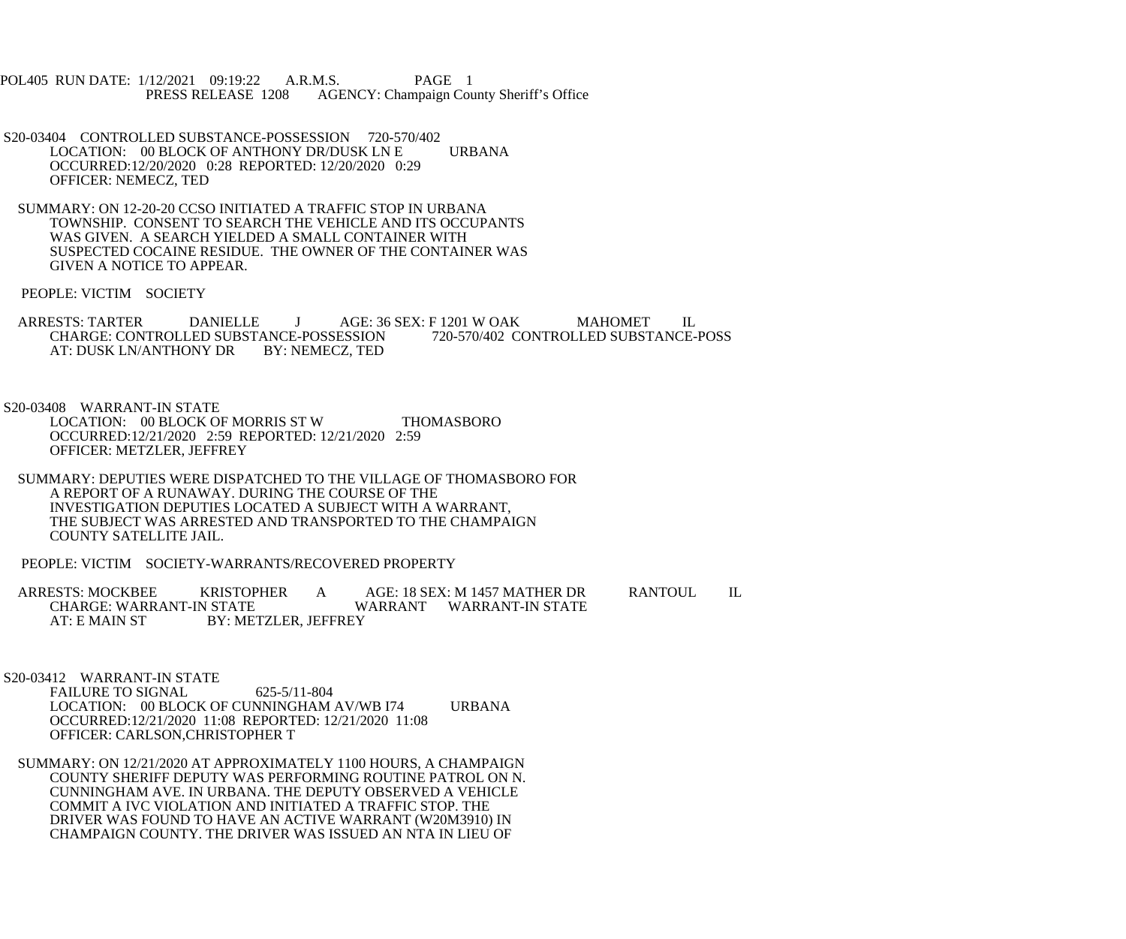POL405 RUN DATE: 1/12/2021 09:19:22 A.R.M.S. PAGE 1<br>PRESS RELEASE 1208 AGENCY: Champaign Cou AGENCY: Champaign County Sheriff's Office

- S20-03404 CONTROLLED SUBSTANCE-POSSESSION 720-570/402 LOCATION: 00 BLOCK OF ANTHONY DR/DUSK LN E URBANA OCCURRED:12/20/2020 0:28 REPORTED: 12/20/2020 0:29 OFFICER: NEMECZ, TED
- SUMMARY: ON 12-20-20 CCSO INITIATED A TRAFFIC STOP IN URBANA TOWNSHIP. CONSENT TO SEARCH THE VEHICLE AND ITS OCCUPANTS WAS GIVEN. A SEARCH YIELDED A SMALL CONTAINER WITH SUSPECTED COCAINE RESIDUE. THE OWNER OF THE CONTAINER WAS GIVEN A NOTICE TO APPEAR.

PEOPLE: VICTIM SOCIETY

ARRESTS: TARTER DANIELLE J AGE: 36 SEX: F 1201 W OAK MAHOMET IL CHARGE: CONTROLLED SUBSTANCE-POSSESSION 720-570/402 CONTROLLED SUBSTANCE-POSS CHARGE: CONTROLLED SUBSTANCE-POSSESSION<br>AT: DUSK LN/ANTHONY DR BY: NEMECZ, TED AT: DUSK LN/ANTHONY DR

S20-03408 WARRANT-IN STATE

- LOCATION: 00 BLOCK OF MORRIS ST W THOMASBORO OCCURRED:12/21/2020 2:59 REPORTED: 12/21/2020 2:59 OFFICER: METZLER, JEFFREY
- SUMMARY: DEPUTIES WERE DISPATCHED TO THE VILLAGE OF THOMASBORO FOR A REPORT OF A RUNAWAY. DURING THE COURSE OF THE INVESTIGATION DEPUTIES LOCATED A SUBJECT WITH A WARRANT, THE SUBJECT WAS ARRESTED AND TRANSPORTED TO THE CHAMPAIGN COUNTY SATELLITE JAIL.
- PEOPLE: VICTIM SOCIETY-WARRANTS/RECOVERED PROPERTY
- ARRESTS: MOCKBEE KRISTOPHER A AGE: 18 SEX: M 1457 MATHER DR RANTOUL IL<br>CHARGE: WARRANT-IN STATE WARRANT WARRANT-IN STATE CHARGE: WARRANT-IN STATE WARRANT WARRANT-IN STATE<br>AT: E MAIN ST BY: METZLER. JEFFREY BY: METZLER, JEFFREY

S20-03412 WARRANT-IN STATE

FAILURE TO SIGNAL 625-5/11-804 LOCATION: 00 BLOCK OF CUNNINGHAM AV/WB I74 URBANA OCCURRED:12/21/2020 11:08 REPORTED: 12/21/2020 11:08 OFFICER: CARLSON,CHRISTOPHER T

 SUMMARY: ON 12/21/2020 AT APPROXIMATELY 1100 HOURS, A CHAMPAIGN COUNTY SHERIFF DEPUTY WAS PERFORMING ROUTINE PATROL ON N. CUNNINGHAM AVE. IN URBANA. THE DEPUTY OBSERVED A VEHICLE COMMIT A IVC VIOLATION AND INITIATED A TRAFFIC STOP. THE DRIVER WAS FOUND TO HAVE AN ACTIVE WARRANT (W20M3910) IN CHAMPAIGN COUNTY. THE DRIVER WAS ISSUED AN NTA IN LIEU OF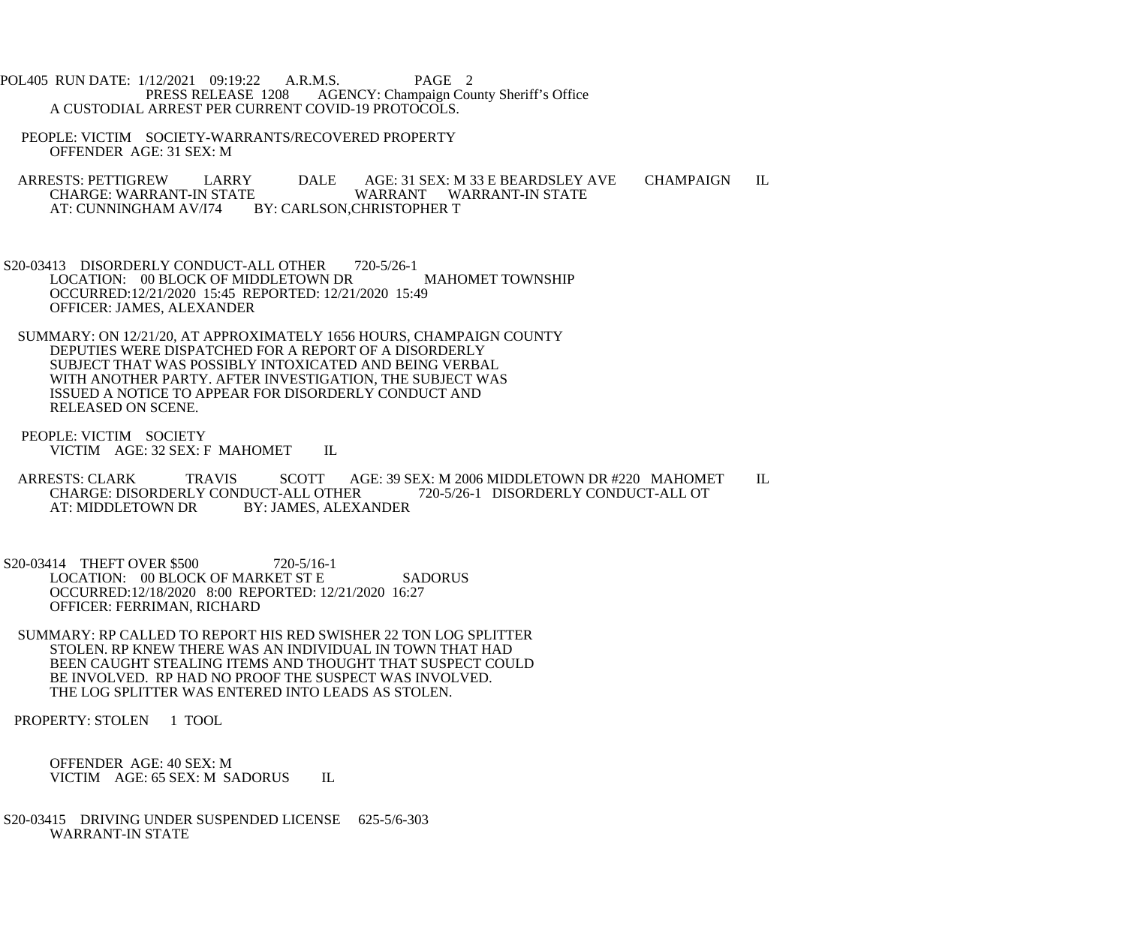POL405 RUN DATE: 1/12/2021 09:19:22 A.R.M.S. PAGE 2<br>PRESS RELEASE 1208 AGENCY: Champaign Cou AGENCY: Champaign County Sheriff's Office A CUSTODIAL ARREST PER CURRENT COVID-19 PROTOCOLS.

 PEOPLE: VICTIM SOCIETY-WARRANTS/RECOVERED PROPERTY OFFENDER AGE: 31 SEX: M

ARRESTS: PETTIGREW LARRY DALE AGE: 31 SEX: M 33 E BEARDSLEY AVE CHAMPAIGN IL<br>CHARGE: WARRANT-IN STATE WARRANT WARRANT-IN STATE CHARGE: WARRANT-IN STATE WARRANT WARRANT-IN STATE AT: CUNNINGHAM AV/I74 BY: CARLSON,CHRISTOPHER T BY: CARLSON, CHRISTOPHER T

S20-03413 DISORDERLY CONDUCT-ALL OTHER 720-5/26-1 LOCATION: 00 BLOCK OF MIDDLETOWN DR MAHOMET TOWNSHIP OCCURRED:12/21/2020 15:45 REPORTED: 12/21/2020 15:49 OFFICER: JAMES, ALEXANDER

 SUMMARY: ON 12/21/20, AT APPROXIMATELY 1656 HOURS, CHAMPAIGN COUNTY DEPUTIES WERE DISPATCHED FOR A REPORT OF A DISORDERLY SUBJECT THAT WAS POSSIBLY INTOXICATED AND BEING VERBAL WITH ANOTHER PARTY. AFTER INVESTIGATION, THE SUBJECT WAS ISSUED A NOTICE TO APPEAR FOR DISORDERLY CONDUCT AND RELEASED ON SCENE.

 PEOPLE: VICTIM SOCIETY VICTIM AGE: 32 SEX: F MAHOMET IL

ARRESTS: CLARK TRAVIS SCOTT AGE: 39 SEX: M 2006 MIDDLETOWN DR #220 MAHOMET IL CHARGE: DISORDERLY CONDUCT-ALL OTHER 720-5/26-1 DISORDERLY CONDUCT-ALL OT CHARGE: DISORDERLY CONDUCT-ALL OTHER<br>AT: MIDDLETOWN DR BY: JAMES, ALEX BY: JAMES, ALEXANDER

S20-03414 THEFT OVER \$500 720-5/16-1 LOCATION: 00 BLOCK OF MARKET ST E SADORUS OCCURRED:12/18/2020 8:00 REPORTED: 12/21/2020 16:27 OFFICER: FERRIMAN, RICHARD

 SUMMARY: RP CALLED TO REPORT HIS RED SWISHER 22 TON LOG SPLITTER STOLEN. RP KNEW THERE WAS AN INDIVIDUAL IN TOWN THAT HAD BEEN CAUGHT STEALING ITEMS AND THOUGHT THAT SUSPECT COULD BE INVOLVED. RP HAD NO PROOF THE SUSPECT WAS INVOLVED. THE LOG SPLITTER WAS ENTERED INTO LEADS AS STOLEN.

PROPERTY: STOLEN 1 TOOL

 OFFENDER AGE: 40 SEX: M VICTIM AGE: 65 SEX: M SADORUS IL

 S20-03415 DRIVING UNDER SUSPENDED LICENSE 625-5/6-303 WARRANT-IN STATE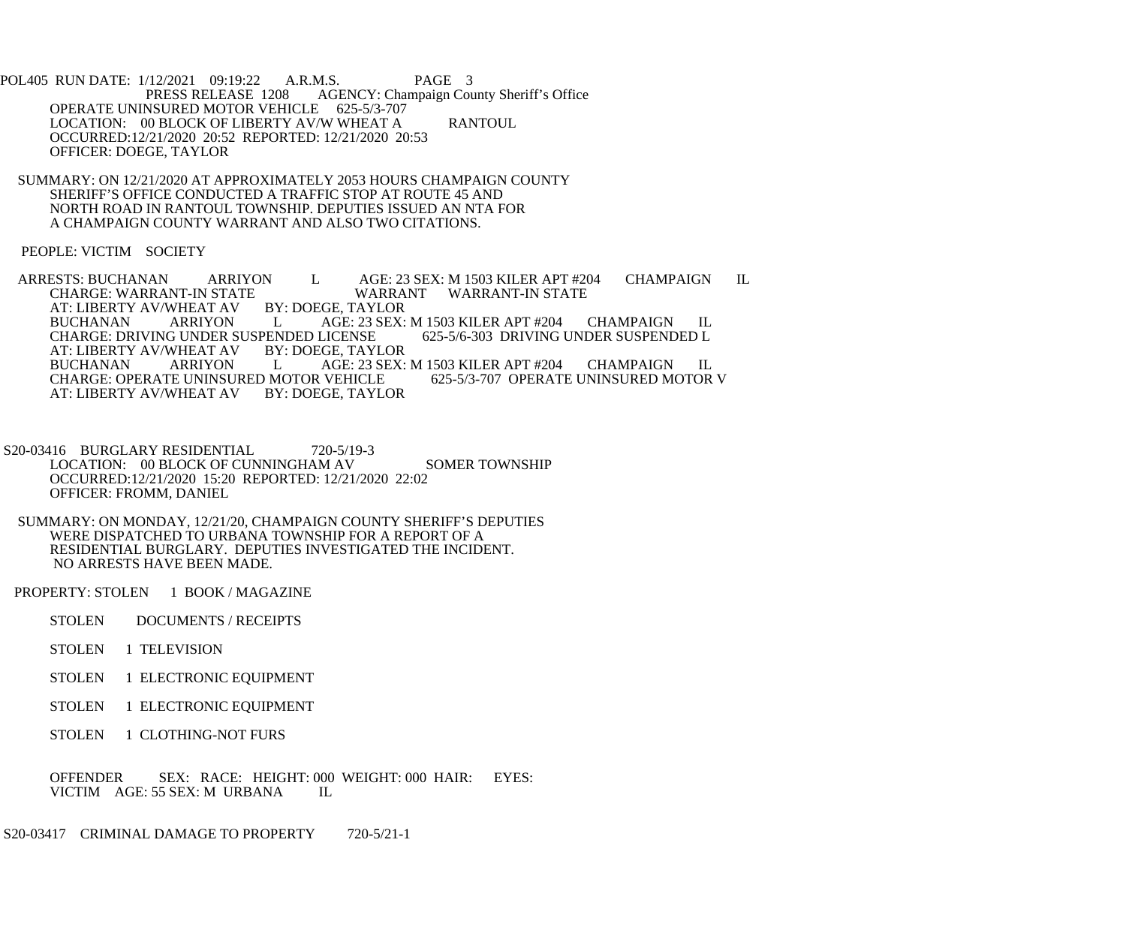POL405 RUN DATE: 1/12/2021 09:19:22 A.R.M.S. PAGE 3<br>PRESS RELEASE 1208 AGENCY: Champaign Cou AGENCY: Champaign County Sheriff's Office OPERATE UNINSURED MOTOR VEHICLE 625-5/3-707 LOCATION: 00 BLOCK OF LIBERTY AV/W WHEAT A RANTOUL OCCURRED:12/21/2020 20:52 REPORTED: 12/21/2020 20:53 OFFICER: DOEGE, TAYLOR

 SUMMARY: ON 12/21/2020 AT APPROXIMATELY 2053 HOURS CHAMPAIGN COUNTY SHERIFF'S OFFICE CONDUCTED A TRAFFIC STOP AT ROUTE 45 AND NORTH ROAD IN RANTOUL TOWNSHIP. DEPUTIES ISSUED AN NTA FOR A CHAMPAIGN COUNTY WARRANT AND ALSO TWO CITATIONS.

PEOPLE: VICTIM SOCIETY

ARRESTS: BUCHANAN ARRIYON L AGE: 23 SEX: M 1503 KILER APT #204 CHAMPAIGN IL CHARGE: WARRANT WARRANT WARRANT-IN STATE WARRANT WARRANT-IN STATE<br>BY: DOEGE. TAYLOR AT: LIBERTY AV/WHEAT AV BUCHANAN ARRIYON L AGE: 23 SEX: M 1503 KILER APT #204 CHAMPAIGN IL CHARGE: DRIVING UNDER SUSPENDED L CHARGE: DRIVING UNDER SUSPENDED LICENSE<br>AT: LIBERTY AV/WHEAT AV BY: DOEGE, TAYLOR AT: LIBERTY AV/WHEAT AV BY<br>BUCHANAN ARRIYON L AGE: 23 SEX: M 1503 KILER APT #204 CHAMPAIGN IL<br>VEHICLE 625-5/3-707 OPERATE UNINSURED MOTOR V CHARGE: OPERATE UNINSURED MOTOR VEHICLE<br>AT: LIBERTY AV/WHEAT AV BY: DOEGE. TAYLOR AT: LIBERTY AV/WHEAT AV

S20-03416 BURGLARY RESIDENTIAL 720-5/19-3 LOCATION: 00 BLOCK OF CUNNINGHAM AV SOMER TOWNSHIP OCCURRED:12/21/2020 15:20 REPORTED: 12/21/2020 22:02 OFFICER: FROMM, DANIEL

 SUMMARY: ON MONDAY, 12/21/20, CHAMPAIGN COUNTY SHERIFF'S DEPUTIES WERE DISPATCHED TO URBANA TOWNSHIP FOR A REPORT OF A RESIDENTIAL BURGLARY. DEPUTIES INVESTIGATED THE INCIDENT. NO ARRESTS HAVE BEEN MADE.

PROPERTY: STOLEN 1 BOOK / MAGAZINE

- STOLEN DOCUMENTS / RECEIPTS
- STOLEN 1 TELEVISION
- STOLEN 1 ELECTRONIC EQUIPMENT
- STOLEN 1 ELECTRONIC EQUIPMENT
- STOLEN 1 CLOTHING-NOT FURS

 OFFENDER SEX: RACE: HEIGHT: 000 WEIGHT: 000 HAIR: EYES: VICTIM AGE: 55 SEX: M URBANA IL

S20-03417 CRIMINAL DAMAGE TO PROPERTY 720-5/21-1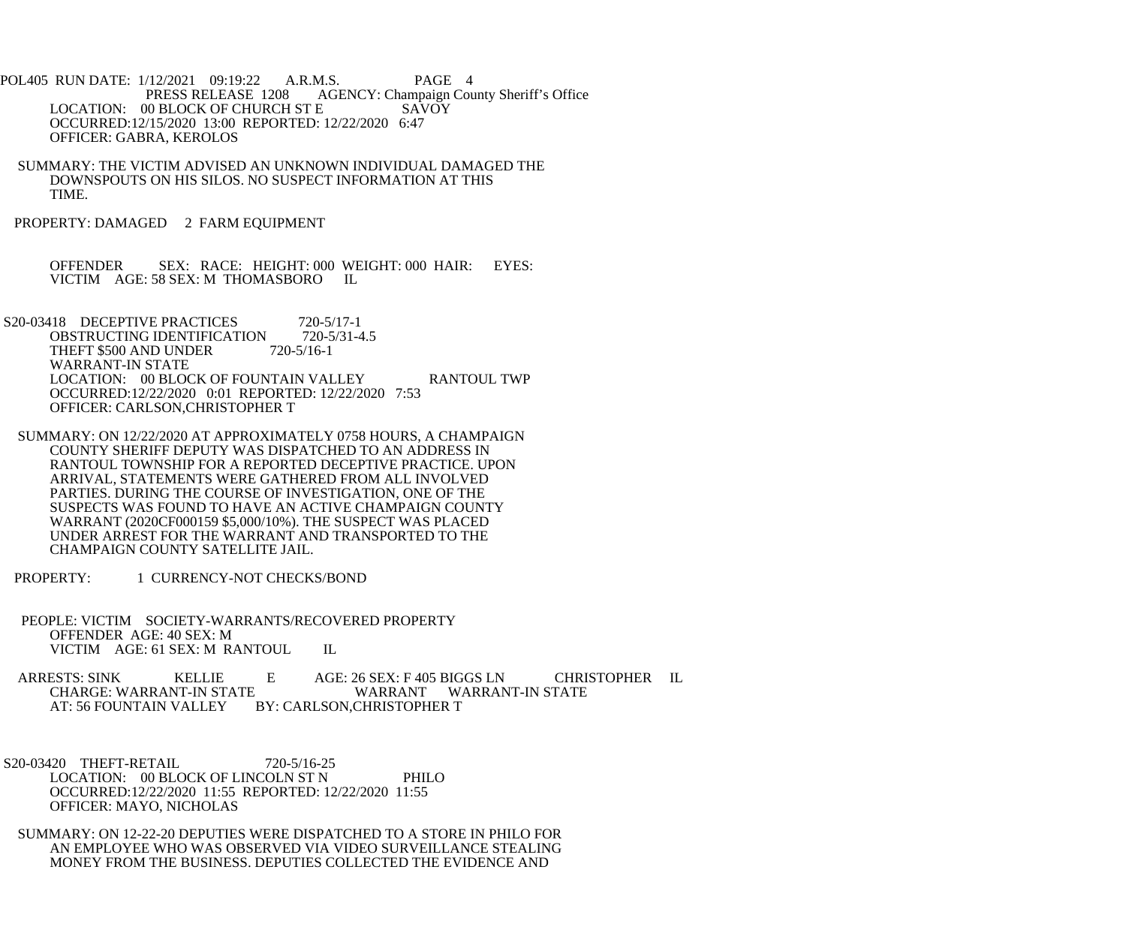POL405 RUN DATE: 1/12/2021 09:19:22 A.R.M.S. PAGE 4<br>PRESS RELEASE 1208 AGENCY: Champaign Cou AGENCY: Champaign County Sheriff's Office LOCATION: 00 BLOCK OF CHURCH ST E SAVOY OCCURRED:12/15/2020 13:00 REPORTED: 12/22/2020 6:47 OFFICER: GABRA, KEROLOS

 SUMMARY: THE VICTIM ADVISED AN UNKNOWN INDIVIDUAL DAMAGED THE DOWNSPOUTS ON HIS SILOS. NO SUSPECT INFORMATION AT THIS TIME.

PROPERTY: DAMAGED 2 FARM EQUIPMENT

 OFFENDER SEX: RACE: HEIGHT: 000 WEIGHT: 000 HAIR: EYES: VICTIM AGE: 58 SEX: M THOMASBORO IL

S20-03418 DECEPTIVE PRACTICES 720-5/17-1<br>OBSTRUCTING IDENTIFICATION 720-5/31-4.5 OBSTRUCTING IDENTIFICATION 720-5<br>THEFT \$500 AND UNDER 720-5/16-1 THEFT \$500 AND UNDER WARRANT-IN STATE LOCATION: 00 BLOCK OF FOUNTAIN VALLEY RANTOUL TWP OCCURRED:12/22/2020 0:01 REPORTED: 12/22/2020 7:53 OFFICER: CARLSON,CHRISTOPHER T

- SUMMARY: ON 12/22/2020 AT APPROXIMATELY 0758 HOURS, A CHAMPAIGN COUNTY SHERIFF DEPUTY WAS DISPATCHED TO AN ADDRESS IN RANTOUL TOWNSHIP FOR A REPORTED DECEPTIVE PRACTICE. UPON ARRIVAL, STATEMENTS WERE GATHERED FROM ALL INVOLVED PARTIES. DURING THE COURSE OF INVESTIGATION, ONE OF THE SUSPECTS WAS FOUND TO HAVE AN ACTIVE CHAMPAIGN COUNTY WARRANT (2020CF000159 \$5,000/10%). THE SUSPECT WAS PLACED UNDER ARREST FOR THE WARRANT AND TRANSPORTED TO THE CHAMPAIGN COUNTY SATELLITE JAIL.
- PROPERTY: 1 CURRENCY-NOT CHECKS/BOND
- PEOPLE: VICTIM SOCIETY-WARRANTS/RECOVERED PROPERTY OFFENDER AGE: 40 SEX: M VICTIM AGE: 61 SEX: M RANTOUL IL

 ARRESTS: SINK KELLIE E AGE: 26 SEX: F 405 BIGGS LN CHRISTOPHER IL CHARGE: WARRANT-IN STATE WARRANT WARRANT-IN STATE<br>AT: 56 FOUNTAIN VALLEY BY: CARLSON.CHRISTOPHER T BY: CARLSON, CHRISTOPHER T

S20-03420 THEFT-RETAIL 720-5/16-25 LOCATION: 00 BLOCK OF LINCOLN ST N PHILO OCCURRED:12/22/2020 11:55 REPORTED: 12/22/2020 11:55 OFFICER: MAYO, NICHOLAS

 SUMMARY: ON 12-22-20 DEPUTIES WERE DISPATCHED TO A STORE IN PHILO FOR AN EMPLOYEE WHO WAS OBSERVED VIA VIDEO SURVEILLANCE STEALING MONEY FROM THE BUSINESS. DEPUTIES COLLECTED THE EVIDENCE AND